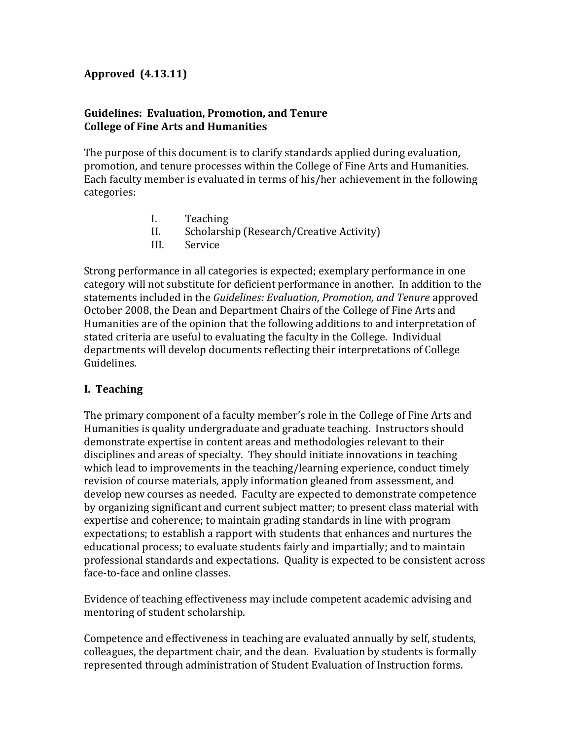### **Approved (4.13.11)**

#### **Guidelines: Evaluation, Promotion, and Tenure College of Fine Arts and Humanities**

The purpose of this document is to clarify standards applied during evaluation, promotion, and tenure processes within the College of Fine Arts and Humanities. Each faculty member is evaluated in terms of his/her achievement in the following categories:

- I. Teaching
- II. Scholarship (Research/Creative Activity)
- III. Service

Strong performance in all categories is expected; exemplary performance in one category will not substitute for deficient performance in another. In addition to the statements included in the *Guidelines: Evaluation, Promotion, and Tenure* approved October 2008, the Dean and Department Chairs of the College of Fine Arts and Humanities are of the opinion that the following additions to and interpretation of stated criteria are useful to evaluating the faculty in the College. Individual departments will develop documents reflecting their interpretations of College Guidelines.

### **I. Teaching**

The primary component of a faculty member's role in the College of Fine Arts and Humanities is quality undergraduate and graduate teaching. Instructors should demonstrate expertise in content areas and methodologies relevant to their disciplines and areas of specialty. They should initiate innovations in teaching which lead to improvements in the teaching/learning experience, conduct timely revision of course materials, apply information gleaned from assessment, and develop new courses as needed. Faculty are expected to demonstrate competence by organizing significant and current subject matter; to present class material with expertise and coherence; to maintain grading standards in line with program expectations; to establish a rapport with students that enhances and nurtures the educational process; to evaluate students fairly and impartially; and to maintain professional standards and expectations. Quality is expected to be consistent across face-to-face and online classes.

Evidence of teaching effectiveness may include competent academic advising and mentoring of student scholarship.

Competence and effectiveness in teaching are evaluated annually by self, students, colleagues, the department chair, and the dean. Evaluation by students is formally represented through administration of Student Evaluation of Instruction forms.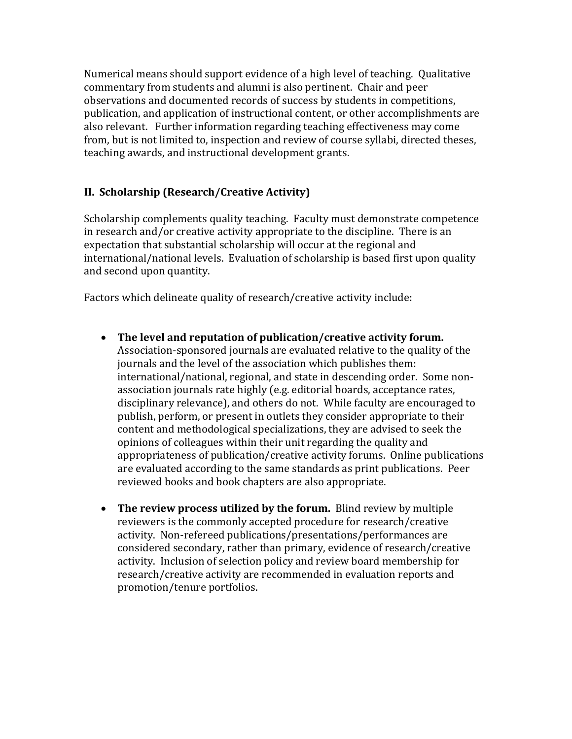Numerical means should support evidence of a high level of teaching. Qualitative commentary from students and alumni is also pertinent. Chair and peer observations and documented records of success by students in competitions, publication, and application of instructional content, or other accomplishments are also relevant. Further information regarding teaching effectiveness may come from, but is not limited to, inspection and review of course syllabi, directed theses, teaching awards, and instructional development grants.

# **II. Scholarship (Research/Creative Activity)**

Scholarship complements quality teaching. Faculty must demonstrate competence in research and/or creative activity appropriate to the discipline. There is an expectation that substantial scholarship will occur at the regional and international/national levels. Evaluation of scholarship is based first upon quality and second upon quantity.

Factors which delineate quality of research/creative activity include:

- **The level and reputation of publication/creative activity forum.** Association-sponsored journals are evaluated relative to the quality of the journals and the level of the association which publishes them: international/national, regional, and state in descending order. Some nonassociation journals rate highly (e.g. editorial boards, acceptance rates, disciplinary relevance), and others do not. While faculty are encouraged to publish, perform, or present in outlets they consider appropriate to their content and methodological specializations, they are advised to seek the opinions of colleagues within their unit regarding the quality and appropriateness of publication/creative activity forums. Online publications are evaluated according to the same standards as print publications. Peer reviewed books and book chapters are also appropriate.
- **The review process utilized by the forum.** Blind review by multiple reviewers is the commonly accepted procedure for research/creative activity. Non-refereed publications/presentations/performances are considered secondary, rather than primary, evidence of research/creative activity. Inclusion of selection policy and review board membership for research/creative activity are recommended in evaluation reports and promotion/tenure portfolios.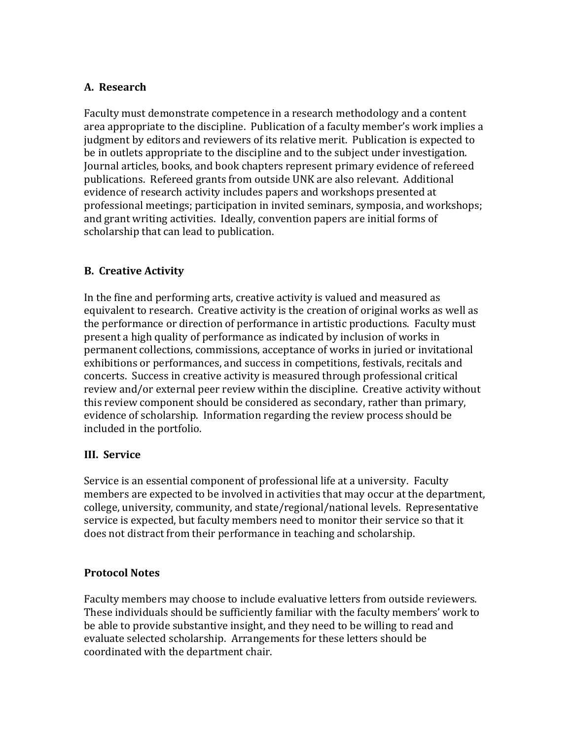# **A. Research**

Faculty must demonstrate competence in a research methodology and a content area appropriate to the discipline. Publication of a faculty member's work implies a judgment by editors and reviewers of its relative merit. Publication is expected to be in outlets appropriate to the discipline and to the subject under investigation. Journal articles, books, and book chapters represent primary evidence of refereed publications. Refereed grants from outside UNK are also relevant. Additional evidence of research activity includes papers and workshops presented at professional meetings; participation in invited seminars, symposia, and workshops; and grant writing activities. Ideally, convention papers are initial forms of scholarship that can lead to publication.

### **B. Creative Activity**

In the fine and performing arts, creative activity is valued and measured as equivalent to research. Creative activity is the creation of original works as well as the performance or direction of performance in artistic productions. Faculty must present a high quality of performance as indicated by inclusion of works in permanent collections, commissions, acceptance of works in juried or invitational exhibitions or performances, and success in competitions, festivals, recitals and concerts. Success in creative activity is measured through professional critical review and/or external peer review within the discipline. Creative activity without this review component should be considered as secondary, rather than primary, evidence of scholarship. Information regarding the review process should be included in the portfolio.

### **III. Service**

Service is an essential component of professional life at a university. Faculty members are expected to be involved in activities that may occur at the department, college, university, community, and state/regional/national levels. Representative service is expected, but faculty members need to monitor their service so that it does not distract from their performance in teaching and scholarship.

### **Protocol Notes**

Faculty members may choose to include evaluative letters from outside reviewers. These individuals should be sufficiently familiar with the faculty members' work to be able to provide substantive insight, and they need to be willing to read and evaluate selected scholarship. Arrangements for these letters should be coordinated with the department chair.